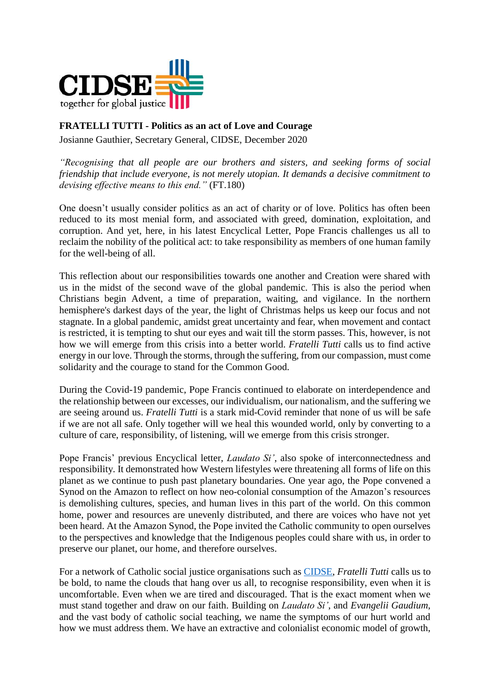

## **FRATELLI TUTTI - Politics as an act of Love and Courage**

Josianne Gauthier, Secretary General, CIDSE, December 2020

*"Recognising that all people are our brothers and sisters, and seeking forms of social friendship that include everyone, is not merely utopian. It demands a decisive commitment to devising effective means to this end."* (FT.180)

One doesn't usually consider politics as an act of charity or of love. Politics has often been reduced to its most menial form, and associated with greed, domination, exploitation, and corruption. And yet, here, in his latest Encyclical Letter, Pope Francis challenges us all to reclaim the nobility of the political act: to take responsibility as members of one human family for the well-being of all.

This reflection about our responsibilities towards one another and Creation were shared with us in the midst of the second wave of the global pandemic. This is also the period when Christians begin Advent, a time of preparation, waiting, and vigilance. In the northern hemisphere's darkest days of the year, the light of Christmas helps us keep our focus and not stagnate. In a global pandemic, amidst great uncertainty and fear, when movement and contact is restricted, it is tempting to shut our eyes and wait till the storm passes. This, however, is not how we will emerge from this crisis into a better world. *Fratelli Tutti* calls us to find active energy in our love. Through the storms, through the suffering, from our compassion, must come solidarity and the courage to stand for the Common Good.

During the Covid-19 pandemic, Pope Francis continued to elaborate on interdependence and the relationship between our excesses, our individualism, our nationalism, and the suffering we are seeing around us. *Fratelli Tutti* is a stark mid-Covid reminder that none of us will be safe if we are not all safe. Only together will we heal this wounded world, only by converting to a culture of care, responsibility, of listening, will we emerge from this crisis stronger.

Pope Francis' previous Encyclical letter, *Laudato Si'*, also spoke of interconnectedness and responsibility. It demonstrated how Western lifestyles were threatening all forms of life on this planet as we continue to push past planetary boundaries. One year ago, the Pope convened a Synod on the Amazon to reflect on how neo-colonial consumption of the Amazon's resources is demolishing cultures, species, and human lives in this part of the world. On this common home, power and resources are unevenly distributed, and there are voices who have not yet been heard. At the Amazon Synod, the Pope invited the Catholic community to open ourselves to the perspectives and knowledge that the Indigenous peoples could share with us, in order to preserve our planet, our home, and therefore ourselves.

For a network of Catholic social justice organisations such as [CIDSE,](https://www.cidse.org/who-we-are/) *Fratelli Tutti* calls us to be bold, to name the clouds that hang over us all, to recognise responsibility, even when it is uncomfortable. Even when we are tired and discouraged. That is the exact moment when we must stand together and draw on our faith. Building on *Laudato Si'*, and *Evangelii Gaudium*, and the vast body of catholic social teaching, we name the symptoms of our hurt world and how we must address them. We have an extractive and colonialist economic model of growth,